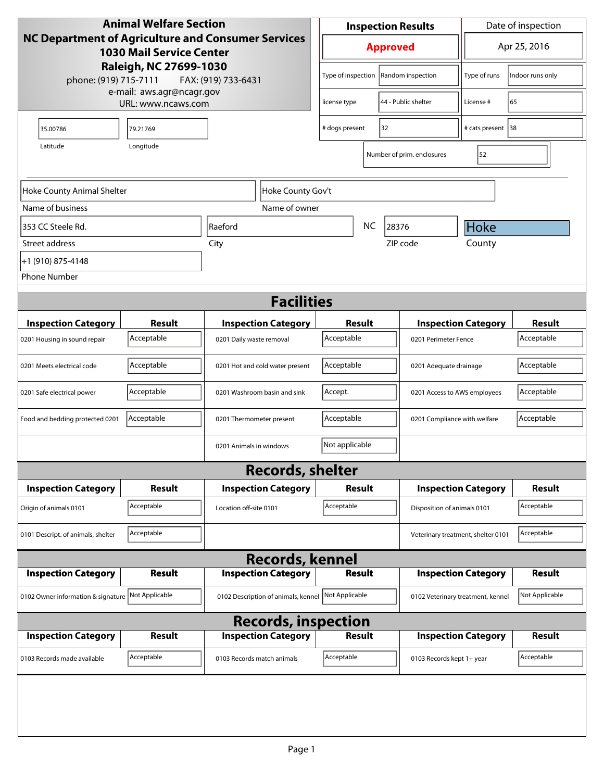| <b>Animal Welfare Section</b>                                                         |                                                 |                                     |                                 | Date of inspection<br><b>Inspection Results</b> |               |                              |                                    |                            |                             |
|---------------------------------------------------------------------------------------|-------------------------------------------------|-------------------------------------|---------------------------------|-------------------------------------------------|---------------|------------------------------|------------------------------------|----------------------------|-----------------------------|
| NC Department of Agriculture and Consumer Services<br><b>1030 Mail Service Center</b> |                                                 |                                     | Apr 25, 2016<br><b>Approved</b> |                                                 |               |                              |                                    |                            |                             |
| Raleigh, NC 27699-1030<br>phone: (919) 715-7111<br>FAX: (919) 733-6431                |                                                 |                                     | Type of inspection              |                                                 |               | Random inspection            | Type of runs                       | Indoor runs only           |                             |
|                                                                                       | e-mail: aws.agr@ncagr.gov<br>URL: www.ncaws.com |                                     |                                 | license type                                    |               |                              | 44 - Public shelter                | License #                  | 65                          |
| 35.00786                                                                              | 79.21769                                        |                                     |                                 | # dogs present<br>32                            |               |                              |                                    | # cats present   38        |                             |
| Latitude<br>Longitude                                                                 |                                                 |                                     |                                 |                                                 |               |                              | Number of prim. enclosures         | 52                         |                             |
| Hoke County Animal Shelter                                                            |                                                 | Hoke County Gov't                   |                                 |                                                 |               |                              |                                    |                            |                             |
| Name of business                                                                      |                                                 | Name of owner                       |                                 |                                                 |               |                              |                                    |                            |                             |
| 353 CC Steele Rd.                                                                     |                                                 | Raeford                             |                                 |                                                 | <b>NC</b>     | 28376                        |                                    | <b>Hoke</b>                |                             |
| Street address                                                                        |                                                 | City                                |                                 |                                                 |               | ZIP code                     |                                    | County                     |                             |
| +1 (910) 875-4148                                                                     |                                                 |                                     |                                 |                                                 |               |                              |                                    |                            |                             |
| <b>Phone Number</b>                                                                   |                                                 |                                     |                                 |                                                 |               |                              |                                    |                            |                             |
|                                                                                       |                                                 | <b>Facilities</b>                   |                                 |                                                 |               |                              |                                    |                            |                             |
|                                                                                       |                                                 |                                     |                                 |                                                 |               |                              |                                    |                            |                             |
| <b>Inspection Category</b>                                                            | <b>Result</b><br>Acceptable                     | <b>Inspection Category</b>          |                                 | Result<br>Acceptable                            |               |                              |                                    | <b>Inspection Category</b> | <b>Result</b><br>Acceptable |
| 0201 Housing in sound repair                                                          |                                                 | 0201 Daily waste removal            |                                 |                                                 |               |                              | 0201 Perimeter Fence               |                            |                             |
| 0201 Meets electrical code                                                            | Acceptable                                      | 0201 Hot and cold water present     |                                 | Acceptable<br>0201 Adequate drainage            |               |                              | Acceptable                         |                            |                             |
| 0201 Safe electrical power                                                            | Acceptable                                      | 0201 Washroom basin and sink        |                                 | Accept.                                         |               | 0201 Access to AWS employees |                                    | Acceptable                 |                             |
| Food and bedding protected 0201                                                       | Acceptable                                      | 0201 Thermometer present            |                                 | Acceptable<br>0201 Compliance with welfare      |               |                              | Acceptable                         |                            |                             |
|                                                                                       |                                                 | 0201 Animals in windows             |                                 | Not applicable                                  |               |                              |                                    |                            |                             |
|                                                                                       |                                                 | <b>Records, shelter</b>             |                                 |                                                 |               |                              |                                    |                            |                             |
| <b>Inspection Category</b>                                                            | Result                                          | <b>Inspection Category</b>          |                                 | <b>Result</b>                                   |               |                              | <b>Inspection Category</b>         | <b>Result</b>              |                             |
| Origin of animals 0101                                                                | Acceptable                                      | Location off-site 0101              |                                 | Acceptable                                      |               | Disposition of animals 0101  |                                    | Acceptable                 |                             |
| 0101 Descript. of animals, shelter                                                    | Acceptable                                      |                                     |                                 |                                                 |               |                              | Veterinary treatment, shelter 0101 |                            | Acceptable                  |
|                                                                                       |                                                 | <b>Records, kennel</b>              |                                 |                                                 |               |                              |                                    |                            |                             |
| <b>Inspection Category</b>                                                            | <b>Result</b>                                   | <b>Inspection Category</b>          |                                 |                                                 | <b>Result</b> |                              |                                    | <b>Inspection Category</b> | <b>Result</b>               |
| 0102 Owner information & signature Not Applicable                                     |                                                 | 0102 Description of animals, kennel |                                 | Not Applicable                                  |               |                              | 0102 Veterinary treatment, kennel  |                            | Not Applicable              |
| <b>Records, inspection</b>                                                            |                                                 |                                     |                                 |                                                 |               |                              |                                    |                            |                             |
| <b>Inspection Category</b>                                                            | <b>Result</b>                                   | <b>Inspection Category</b>          |                                 |                                                 | <b>Result</b> |                              |                                    | <b>Inspection Category</b> | <b>Result</b>               |
| 0103 Records made available                                                           | Acceptable                                      | 0103 Records match animals          |                                 | Acceptable                                      |               |                              | 0103 Records kept 1+ year          |                            | Acceptable                  |
|                                                                                       |                                                 |                                     |                                 |                                                 |               |                              |                                    |                            |                             |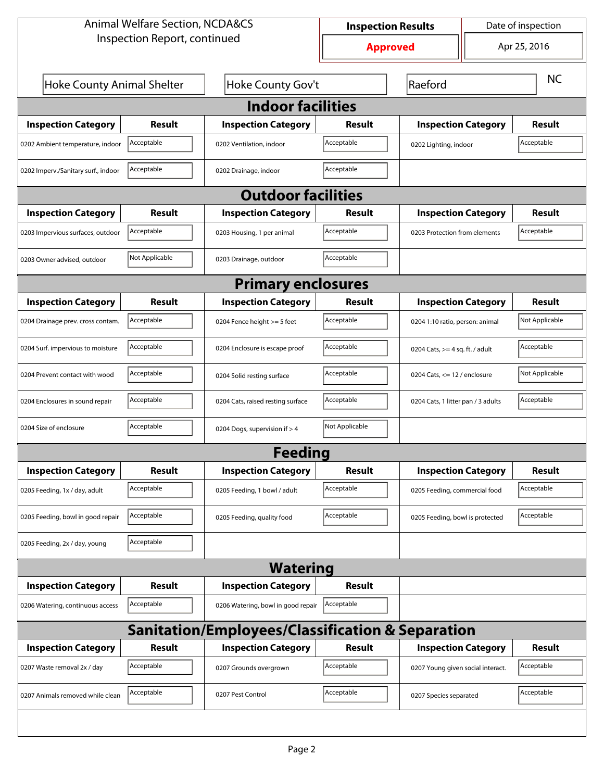| <b>Animal Welfare Section, NCDA&amp;CS</b>       |                           |                                    |                 | Date of inspection<br><b>Inspection Results</b> |                                     |               |  |  |
|--------------------------------------------------|---------------------------|------------------------------------|-----------------|-------------------------------------------------|-------------------------------------|---------------|--|--|
| Inspection Report, continued                     |                           |                                    | <b>Approved</b> | Apr 25, 2016                                    |                                     |               |  |  |
| Hoke County Animal Shelter                       |                           | Hoke County Gov't                  |                 | Raeford                                         |                                     | <b>NC</b>     |  |  |
| <b>Indoor facilities</b>                         |                           |                                    |                 |                                                 |                                     |               |  |  |
| <b>Inspection Category</b>                       | Result                    | <b>Inspection Category</b>         | Result          |                                                 | <b>Inspection Category</b>          |               |  |  |
| 0202 Ambient temperature, indoor                 | Acceptable                | 0202 Ventilation, indoor           | Acceptable      |                                                 | Acceptable<br>0202 Lighting, indoor |               |  |  |
| 0202 Imperv./Sanitary surf., indoor              | Acceptable                | 0202 Drainage, indoor              | Acceptable      |                                                 |                                     |               |  |  |
|                                                  | <b>Outdoor facilities</b> |                                    |                 |                                                 |                                     |               |  |  |
| <b>Inspection Category</b>                       | Result                    | <b>Inspection Category</b>         | Result          | <b>Inspection Category</b>                      |                                     | Result        |  |  |
| 0203 Impervious surfaces, outdoor                | Acceptable                | 0203 Housing, 1 per animal         | Acceptable      | 0203 Protection from elements                   |                                     | Acceptable    |  |  |
| 0203 Owner advised, outdoor                      | Not Applicable            | 0203 Drainage, outdoor             | Acceptable      |                                                 |                                     |               |  |  |
|                                                  |                           | <b>Primary enclosures</b>          |                 |                                                 |                                     |               |  |  |
| <b>Inspection Category</b>                       | Result                    | <b>Inspection Category</b>         | Result          | <b>Inspection Category</b>                      |                                     | Result        |  |  |
| 0204 Drainage prev. cross contam.                | Acceptable                | 0204 Fence height >= 5 feet        | Acceptable      |                                                 | 0204 1:10 ratio, person: animal     |               |  |  |
| 0204 Surf. impervious to moisture                | Acceptable                | 0204 Enclosure is escape proof     | Acceptable      |                                                 | 0204 Cats, $>=$ 4 sq. ft. / adult   |               |  |  |
| 0204 Prevent contact with wood                   | Acceptable                | 0204 Solid resting surface         | Acceptable      |                                                 | 0204 Cats, $\le$ 12 / enclosure     |               |  |  |
| 0204 Enclosures in sound repair                  | Acceptable                | 0204 Cats, raised resting surface  | Acceptable      |                                                 | 0204 Cats, 1 litter pan / 3 adults  |               |  |  |
| 0204 Size of enclosure                           | Acceptable                | 0204 Dogs, supervision if > 4      | Not Applicable  |                                                 |                                     |               |  |  |
|                                                  |                           | Feedina                            |                 |                                                 |                                     |               |  |  |
| <b>Inspection Category</b>                       | <b>Result</b>             | <b>Inspection Category</b>         | <b>Result</b>   | <b>Inspection Category</b>                      |                                     | <b>Result</b> |  |  |
| 0205 Feeding, 1x / day, adult                    | Acceptable                | 0205 Feeding, 1 bowl / adult       | Acceptable      | 0205 Feeding, commercial food                   |                                     | Acceptable    |  |  |
| 0205 Feeding, bowl in good repair                | Acceptable                | 0205 Feeding, quality food         | Acceptable      | 0205 Feeding, bowl is protected                 |                                     | Acceptable    |  |  |
| 0205 Feeding, 2x / day, young                    | Acceptable                |                                    |                 |                                                 |                                     |               |  |  |
|                                                  |                           | <b>Watering</b>                    |                 |                                                 |                                     |               |  |  |
| <b>Inspection Category</b>                       | <b>Result</b>             | <b>Inspection Category</b>         | <b>Result</b>   |                                                 |                                     |               |  |  |
| 0206 Watering, continuous access                 | Acceptable                | 0206 Watering, bowl in good repair | Acceptable      |                                                 |                                     |               |  |  |
| Sanitation/Employees/Classification & Separation |                           |                                    |                 |                                                 |                                     |               |  |  |
| <b>Inspection Category</b>                       | <b>Result</b>             | <b>Inspection Category</b>         | <b>Result</b>   | <b>Inspection Category</b>                      |                                     | <b>Result</b> |  |  |
| 0207 Waste removal 2x / day                      | Acceptable                | 0207 Grounds overgrown             | Acceptable      | 0207 Young given social interact.               |                                     | Acceptable    |  |  |
| 0207 Animals removed while clean                 | Acceptable                | 0207 Pest Control                  | Acceptable      | 0207 Species separated                          |                                     | Acceptable    |  |  |
|                                                  |                           |                                    |                 |                                                 |                                     |               |  |  |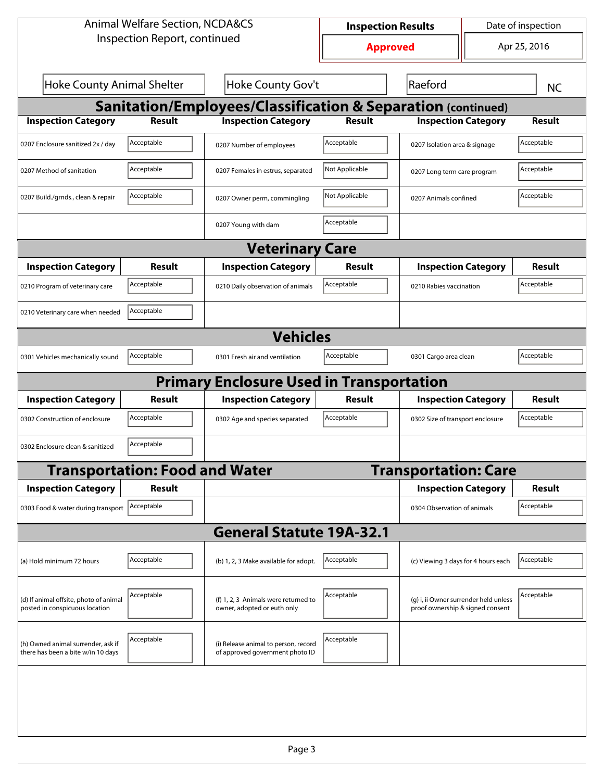| <b>Animal Welfare Section, NCDA&amp;CS</b>                               |                                       |                                                                         |                                 | Date of inspection<br><b>Inspection Results</b>                           |                                     |               |  |  |  |  |
|--------------------------------------------------------------------------|---------------------------------------|-------------------------------------------------------------------------|---------------------------------|---------------------------------------------------------------------------|-------------------------------------|---------------|--|--|--|--|
| Inspection Report, continued                                             |                                       |                                                                         | Apr 25, 2016<br><b>Approved</b> |                                                                           |                                     |               |  |  |  |  |
| <b>Hoke County Animal Shelter</b><br>Hoke County Gov't<br>Raeford        |                                       |                                                                         |                                 |                                                                           |                                     | <b>NC</b>     |  |  |  |  |
| <b>Sanitation/Employees/Classification &amp; Separation (continued)</b>  |                                       |                                                                         |                                 |                                                                           |                                     |               |  |  |  |  |
| <b>Inspection Category</b>                                               | <b>Result</b>                         | <b>Inspection Category</b>                                              | <b>Result</b>                   | <b>Inspection Category</b>                                                |                                     | <b>Result</b> |  |  |  |  |
| 0207 Enclosure sanitized 2x / day                                        | Acceptable                            | 0207 Number of employees                                                | Acceptable                      | 0207 Isolation area & signage                                             |                                     | Acceptable    |  |  |  |  |
| 0207 Method of sanitation                                                | Acceptable                            | 0207 Females in estrus, separated                                       | Not Applicable                  | 0207 Long term care program                                               |                                     | Acceptable    |  |  |  |  |
| 0207 Build./grnds., clean & repair                                       | Acceptable                            | 0207 Owner perm, commingling                                            | Not Applicable                  | 0207 Animals confined                                                     |                                     | Acceptable    |  |  |  |  |
|                                                                          |                                       | 0207 Young with dam                                                     | Acceptable                      |                                                                           |                                     |               |  |  |  |  |
|                                                                          | <b>Veterinary Care</b>                |                                                                         |                                 |                                                                           |                                     |               |  |  |  |  |
| <b>Inspection Category</b>                                               | Result                                | <b>Inspection Category</b>                                              | Result                          | <b>Inspection Category</b>                                                |                                     | <b>Result</b> |  |  |  |  |
| 0210 Program of veterinary care                                          | Acceptable                            | 0210 Daily observation of animals                                       | Acceptable                      | 0210 Rabies vaccination                                                   |                                     | Acceptable    |  |  |  |  |
| 0210 Veterinary care when needed                                         | Acceptable                            |                                                                         |                                 |                                                                           |                                     |               |  |  |  |  |
|                                                                          |                                       | <b>Vehicles</b>                                                         |                                 |                                                                           |                                     |               |  |  |  |  |
| 0301 Vehicles mechanically sound                                         | Acceptable                            | 0301 Fresh air and ventilation                                          | Acceptable                      |                                                                           | Acceptable<br>0301 Cargo area clean |               |  |  |  |  |
|                                                                          |                                       | <b>Primary Enclosure Used in Transportation</b>                         |                                 |                                                                           |                                     |               |  |  |  |  |
| <b>Inspection Category</b>                                               | Result                                | <b>Inspection Category</b>                                              | Result                          | <b>Inspection Category</b>                                                |                                     | Result        |  |  |  |  |
| 0302 Construction of enclosure                                           | Acceptable                            | 0302 Age and species separated                                          | Acceptable                      | 0302 Size of transport enclosure                                          |                                     | Acceptable    |  |  |  |  |
| 0302 Enclosure clean & sanitized                                         | Acceptable                            |                                                                         |                                 |                                                                           |                                     |               |  |  |  |  |
|                                                                          | <b>Transportation: Food and Water</b> |                                                                         |                                 | <b>Transportation: Care</b>                                               |                                     |               |  |  |  |  |
| <b>Inspection Category</b>                                               | <b>Result</b>                         |                                                                         |                                 | <b>Inspection Category</b>                                                |                                     | <b>Result</b> |  |  |  |  |
| 0303 Food & water during transport                                       | Acceptable                            |                                                                         |                                 | 0304 Observation of animals                                               |                                     | Acceptable    |  |  |  |  |
|                                                                          |                                       | <b>General Statute 19A-32.1</b>                                         |                                 |                                                                           |                                     |               |  |  |  |  |
| (a) Hold minimum 72 hours                                                | Acceptable                            | (b) 1, 2, 3 Make available for adopt.                                   | Acceptable                      | (c) Viewing 3 days for 4 hours each                                       |                                     | Acceptable    |  |  |  |  |
| (d) If animal offsite, photo of animal<br>posted in conspicuous location | Acceptable                            | (f) 1, 2, 3 Animals were returned to<br>owner, adopted or euth only     | Acceptable                      | (g) i, ii Owner surrender held unless<br>proof ownership & signed consent |                                     | Acceptable    |  |  |  |  |
| (h) Owned animal surrender, ask if<br>there has been a bite w/in 10 days | Acceptable                            | (i) Release animal to person, record<br>of approved government photo ID | Acceptable                      |                                                                           |                                     |               |  |  |  |  |
|                                                                          |                                       |                                                                         |                                 |                                                                           |                                     |               |  |  |  |  |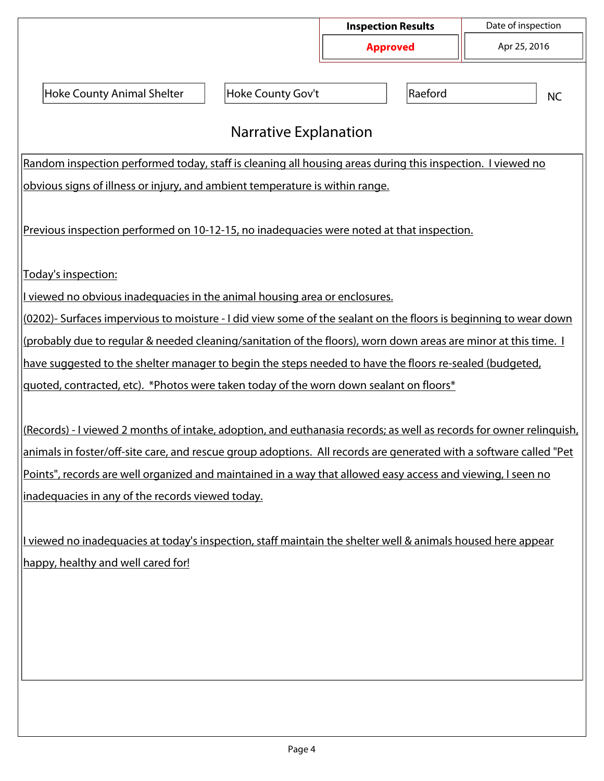|                                                                                                                     |                              | <b>Inspection Results</b> | Date of inspection |  |  |  |  |
|---------------------------------------------------------------------------------------------------------------------|------------------------------|---------------------------|--------------------|--|--|--|--|
|                                                                                                                     |                              | <b>Approved</b>           | Apr 25, 2016       |  |  |  |  |
|                                                                                                                     |                              |                           |                    |  |  |  |  |
| <b>Hoke County Animal Shelter</b>                                                                                   | Hoke County Gov't            | Raeford                   | <b>NC</b>          |  |  |  |  |
|                                                                                                                     |                              |                           |                    |  |  |  |  |
|                                                                                                                     | <b>Narrative Explanation</b> |                           |                    |  |  |  |  |
| Random inspection performed today, staff is cleaning all housing areas during this inspection. I viewed no          |                              |                           |                    |  |  |  |  |
| obvious signs of illness or injury, and ambient temperature is within range.                                        |                              |                           |                    |  |  |  |  |
|                                                                                                                     |                              |                           |                    |  |  |  |  |
| Previous inspection performed on 10-12-15, no inadequacies were noted at that inspection.                           |                              |                           |                    |  |  |  |  |
|                                                                                                                     |                              |                           |                    |  |  |  |  |
| Today's inspection:                                                                                                 |                              |                           |                    |  |  |  |  |
| I viewed no obvious inadequacies in the animal housing area or enclosures.                                          |                              |                           |                    |  |  |  |  |
| (0202)- Surfaces impervious to moisture - I did view some of the sealant on the floors is beginning to wear down    |                              |                           |                    |  |  |  |  |
| (probably due to regular & needed cleaning/sanitation of the floors), worn down areas are minor at this time. I     |                              |                           |                    |  |  |  |  |
| have suggested to the shelter manager to begin the steps needed to have the floors re-sealed (budgeted,             |                              |                           |                    |  |  |  |  |
| quoted, contracted, etc). *Photos were taken today of the worn down sealant on floors*                              |                              |                           |                    |  |  |  |  |
|                                                                                                                     |                              |                           |                    |  |  |  |  |
| (Records) - I viewed 2 months of intake, adoption, and euthanasia records; as well as records for owner relinguish, |                              |                           |                    |  |  |  |  |
| animals in foster/off-site care, and rescue group adoptions. All records are generated with a software called "Pet  |                              |                           |                    |  |  |  |  |
| Points", records are well organized and maintained in a way that allowed easy access and viewing, I seen no         |                              |                           |                    |  |  |  |  |
| inadequacies in any of the records viewed today.                                                                    |                              |                           |                    |  |  |  |  |
|                                                                                                                     |                              |                           |                    |  |  |  |  |
| I viewed no inadequacies at today's inspection, staff maintain the shelter well & animals housed here appear        |                              |                           |                    |  |  |  |  |
| happy, healthy and well cared for!                                                                                  |                              |                           |                    |  |  |  |  |
|                                                                                                                     |                              |                           |                    |  |  |  |  |
|                                                                                                                     |                              |                           |                    |  |  |  |  |
|                                                                                                                     |                              |                           |                    |  |  |  |  |